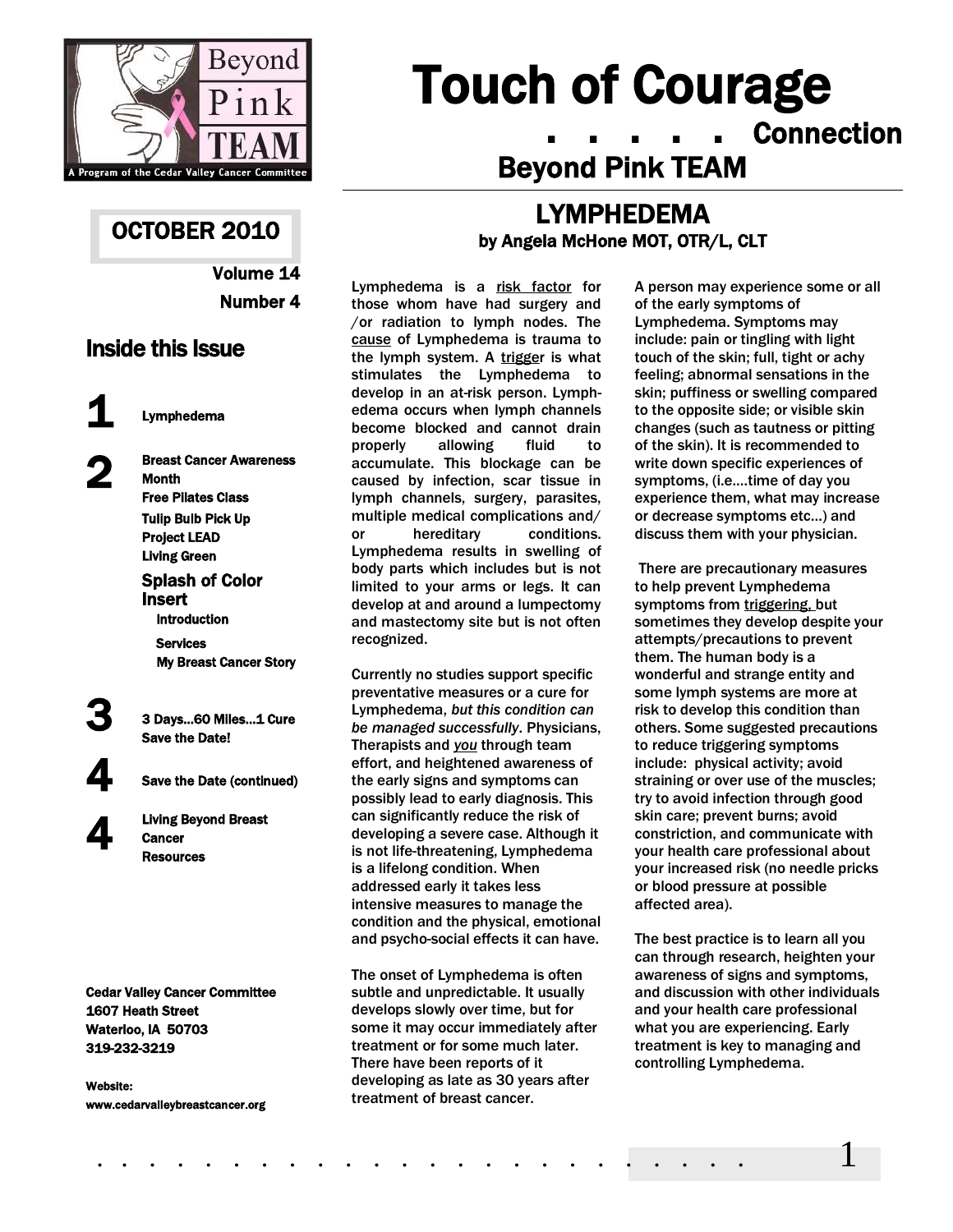

## OCTOBER 2010

Volume 14 Number 4

## Inside this Issue

1 Lymphedema

2

4

Breast Cancer Awareness **Month** Free Pilates Class Tulip Bulb Pick Up Project LEAD Living Green Splash of Color Insert Introduction Services My Breast Cancer Story

3 3 Days…60 Miles…1 Cure Save the Date!

Save the Date (continued)

Living Beyond Breast **Cancer Resources** 

Cedar Valley Cancer Committee 1607 Heath Street Waterloo, IA 50703 319-232-3219

Website: www.cedarvalleybreastcancer.org

# Touch of Courage . . . . . Connection Beyond Pink TEAM

## LYMPHEDEMA by Angela McHone MOT, OTR/L, CLT

Lymphedema is a risk factor for those whom have had surgery and /or radiation to lymph nodes. The cause of Lymphedema is trauma to the lymph system. A trigger is what stimulates the Lymphedema to develop in an at-risk person. Lymphedema occurs when lymph channels become blocked and cannot drain properly allowing fluid to accumulate. This blockage can be caused by infection, scar tissue in lymph channels, surgery, parasites, multiple medical complications and/ or hereditary conditions. Lymphedema results in swelling of body parts which includes but is not limited to your arms or legs. It can develop at and around a lumpectomy and mastectomy site but is not often recognized.

Currently no studies support specific preventative measures or a cure for Lymphedema, *but this condition can be managed successfully*. Physicians, Therapists and *you* through team effort, and heightened awareness of the early signs and symptoms can possibly lead to early diagnosis. This can significantly reduce the risk of developing a severe case. Although it is not life-threatening, Lymphedema is a lifelong condition. When addressed early it takes less intensive measures to manage the condition and the physical, emotional and psycho-social effects it can have.

The onset of Lymphedema is often subtle and unpredictable. It usually develops slowly over time, but for some it may occur immediately after treatment or for some much later. There have been reports of it developing as late as 30 years after treatment of breast cancer.

A person may experience some or all of the early symptoms of Lymphedema. Symptoms may include: pain or tingling with light touch of the skin; full, tight or achy feeling; abnormal sensations in the skin; puffiness or swelling compared to the opposite side; or visible skin changes (such as tautness or pitting of the skin). It is recommended to write down specific experiences of symptoms, (i.e.…time of day you experience them, what may increase or decrease symptoms etc…) and discuss them with your physician.

There are precautionary measures to help prevent Lymphedema symptoms from triggering, but sometimes they develop despite your attempts/precautions to prevent them. The human body is a wonderful and strange entity and some lymph systems are more at risk to develop this condition than others. Some suggested precautions to reduce triggering symptoms include: physical activity; avoid straining or over use of the muscles; try to avoid infection through good skin care; prevent burns; avoid constriction, and communicate with your health care professional about your increased risk (no needle pricks or blood pressure at possible affected area).

The best practice is to learn all you can through research, heighten your awareness of signs and symptoms, and discussion with other individuals and your health care professional what you are experiencing. Early treatment is key to managing and controlling Lymphedema.

. . . . . . . . . . . . . . . . . . . . . . . . 1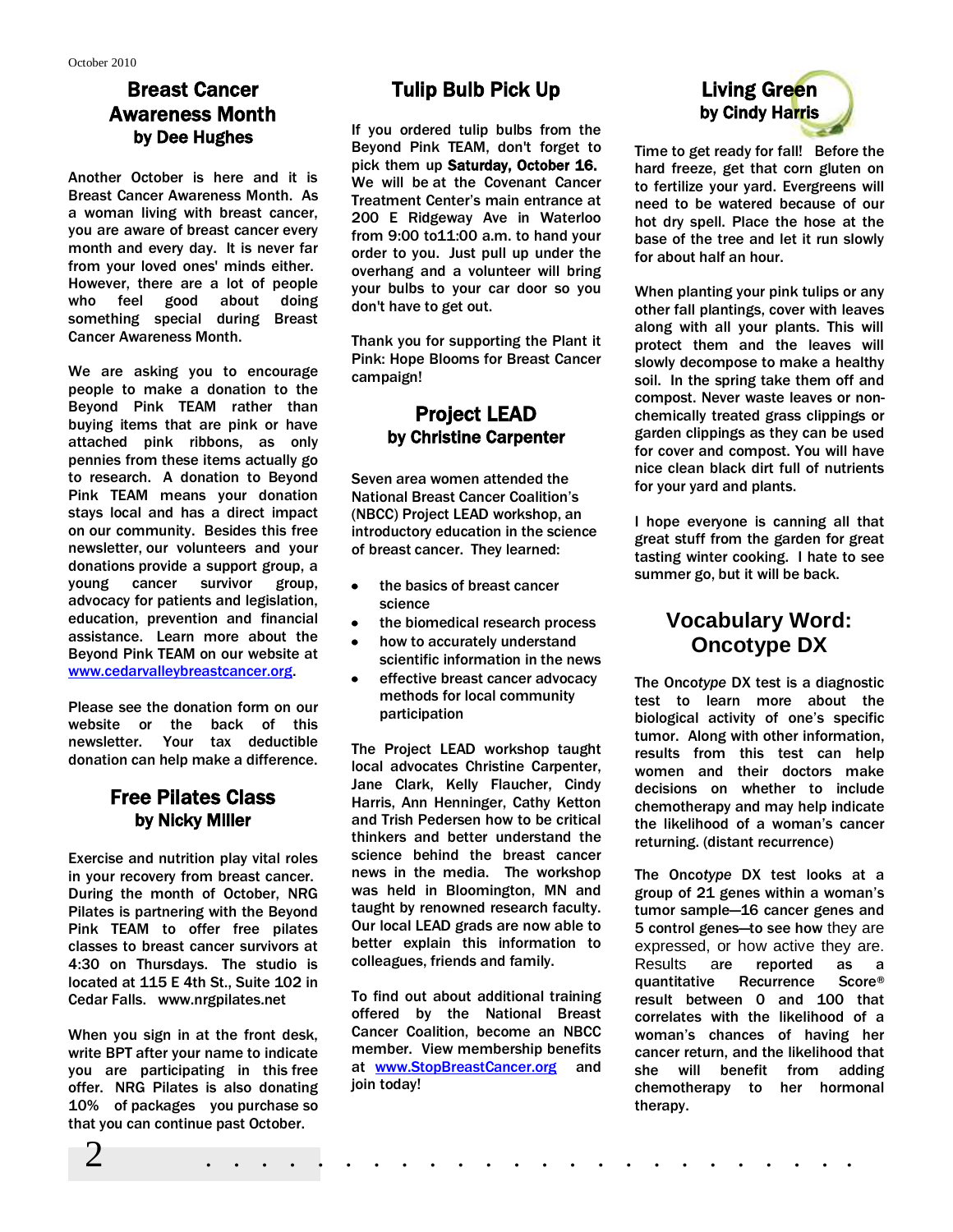## Breast Cancer Awareness Month by Dee Hughes

Another October is here and it is Breast Cancer Awareness Month. As a woman living with breast cancer, you are aware of breast cancer every month and every day. It is never far from your loved ones' minds either. However, there are a lot of people who feel good about doing something special during Breast Cancer Awareness Month.

We are asking you to encourage people to make a donation to the Beyond Pink TEAM rather than buying items that are pink or have attached pink ribbons, as only pennies from these items actually go to research. A donation to Beyond Pink TEAM means your donation stays local and has a direct impact on our community. Besides this free newsletter, our volunteers and your donations provide a support group, a young cancer survivor group, advocacy for patients and legislation, education, prevention and financial assistance. Learn more about the Beyond Pink TEAM on our website at [www.cedarvalleybreastcancer.org.](http://www.cedarvalleybreastcancer.org/)

Please see the donation form on our website or the back of this newsletter. Your tax deductible donation can help make a difference.

#### Free Pilates Class by Nicky Miller

Exercise and nutrition play vital roles in your recovery from breast cancer. During the month of October, NRG Pilates is partnering with the Beyond Pink TEAM to offer free pilates classes to breast cancer survivors at 4:30 on Thursdays. The studio is located at 115 E 4th St., Suite 102 in Cedar Falls. www.nrgpilates.net

When you sign in at the front desk, write BPT after your name to indicate you are participating in this free offer. NRG Pilates is also donating 10% of packages you purchase so that you can continue past October.

## Tulip Bulb Pick Up

If you ordered tulip bulbs from the Beyond Pink TEAM, don't forget to pick them up Saturday, October 16. We will be at the Covenant Cancer Treatment Center's main entrance at 200 E Ridgeway Ave in Waterloo from 9:00 to11:00 a.m. to hand your order to you. Just pull up under the overhang and a volunteer will bring your bulbs to your car door so you don't have to get out.

Thank you for supporting the Plant it Pink: Hope Blooms for Breast Cancer campaign!

#### Project LEAD by Christine Carpenter

Seven area women attended the National Breast Cancer Coalition's (NBCC) Project LEAD workshop, an introductory education in the science of breast cancer. They learned:

- $\bullet$ the basics of breast cancer science
- the biomedical research process  $\bullet$
- how to accurately understand scientific information in the news
- effective breast cancer advocacy methods for local community participation

The Project LEAD workshop taught local advocates Christine Carpenter, Jane Clark, Kelly Flaucher, Cindy Harris, Ann Henninger, Cathy Ketton and Trish Pedersen how to be critical thinkers and better understand the science behind the breast cancer news in the media. The workshop was held in Bloomington, MN and taught by renowned research faculty. Our local LEAD grads are now able to better explain this information to colleagues, friends and family.

To find out about additional training offered by the National Breast Cancer Coalition, become an NBCC member. View membership benefits at [www.StopBreastCancer.org](http://www.stopbreastcancer.org/) and join today!

2 . . . . . . . . . . . . . . . . . . . . . . . .



Time to get ready for fall! Before the hard freeze, get that corn gluten on to fertilize your yard. Evergreens will need to be watered because of our hot dry spell. Place the hose at the base of the tree and let it run slowly for about half an hour.

When planting your pink tulips or any other fall plantings, cover with leaves along with all your plants. This will protect them and the leaves will slowly decompose to make a healthy soil. In the spring take them off and compost. Never waste leaves or nonchemically treated grass clippings or garden clippings as they can be used for cover and compost. You will have nice clean black dirt full of nutrients for your yard and plants.

I hope everyone is canning all that great stuff from the garden for great tasting winter cooking. I hate to see summer go, but it will be back.

## **Vocabulary Word: Oncotype DX**

The Onco*type* DX test is a diagnostic test to learn more about the biological activity of one's specific tumor. Along with other information, results from this test can help women and their doctors make decisions on whether to include chemotherapy and may help indicate the likelihood of a woman's cancer returning. (distant recurrence)

The Onco*type* DX test looks at a group of 21 genes within a woman's tumor sample—16 cancer genes and 5 control genes—to see how they are expressed, or how active they are. Results are reported as a quantitative Recurrence Score® result between 0 and 100 that correlates with the likelihood of a woman's chances of having her cancer return, and the likelihood that she will benefit from adding chemotherapy to her hormonal therapy.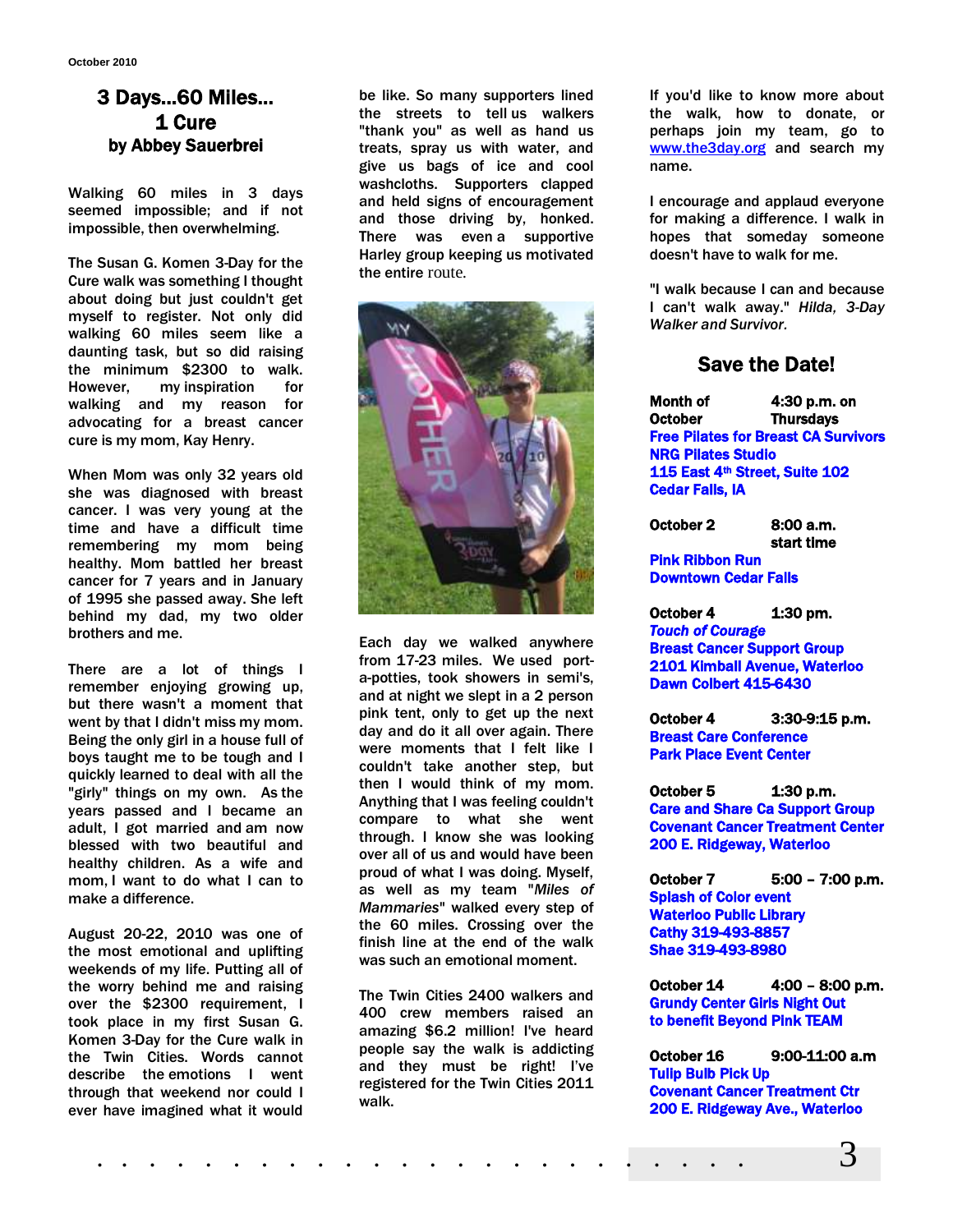### 3 Days…60 Miles… 1 Cure by Abbey Sauerbrei

Walking 60 miles in 3 days seemed impossible; and if not impossible, then overwhelming.

The Susan G. Komen 3-Day for the Cure walk was something I thought about doing but just couldn't get myself to register. Not only did walking 60 miles seem like a daunting task, but so did raising the minimum \$2300 to walk. However, my inspiration for walking and my reason for advocating for a breast cancer cure is my mom, Kay Henry.

When Mom was only 32 years old she was diagnosed with breast cancer. I was very young at the time and have a difficult time remembering my mom being healthy. Mom battled her breast cancer for 7 years and in January of 1995 she passed away. She left behind my dad, my two older brothers and me.

There are a lot of things I remember enjoying growing up, but there wasn't a moment that went by that I didn't miss my mom. Being the only girl in a house full of boys taught me to be tough and I quickly learned to deal with all the "girly" things on my own. As the years passed and I became an adult, I got married and am now blessed with two beautiful and healthy children. As a wife and mom, I want to do what I can to make a difference.

August 20-22, 2010 was one of the most emotional and uplifting weekends of my life. Putting all of the worry behind me and raising over the \$2300 requirement, I took place in my first Susan G. Komen 3-Day for the Cure walk in the Twin Cities. Words cannot describe the emotions I went through that weekend nor could I ever have imagined what it would

be like. So many supporters lined the streets to tell us walkers "thank you" as well as hand us treats, spray us with water, and give us bags of ice and cool washcloths. Supporters clapped and held signs of encouragement and those driving by, honked. There was even a supportive Harley group keeping us motivated the entire route.



Each day we walked anywhere from 17-23 miles. We used porta-potties, took showers in semi's, and at night we slept in a 2 person pink tent, only to get up the next day and do it all over again. There were moments that I felt like I couldn't take another step, but then I would think of my mom. Anything that I was feeling couldn't compare to what she went through. I know she was looking over all of us and would have been proud of what I was doing. Myself, as well as my team "*Miles of Mammaries*" walked every step of the 60 miles. Crossing over the finish line at the end of the walk was such an emotional moment.

The Twin Cities 2400 walkers and 400 crew members raised an amazing \$6.2 million! I've heard people say the walk is addicting and they must be right! I've registered for the Twin Cities 2011 walk.

If you'd like to know more about the walk, how to donate, or perhaps join my team, go to [www.the3day.org](http://www.the3day.org/) and search my name.

I encourage and applaud everyone for making a difference. I walk in hopes that someday someone doesn't have to walk for me.

"I walk because I can and because I can't walk away." *Hilda, 3-Day Walker and Survivor.*

### Save the Date!

Month of **October** 4:30 p.m. on **Thursdays** Free Pilates for Breast CA Survivors NRG Pilates Studio 115 East 4<sup>th</sup> Street, Suite 102 Cedar Falls, IA

October 2 8:00 a.m.

start time Pink Ribbon Run Downtown Cedar Falls

October 4 1:30 pm. *Touch of Courage*  Breast Cancer Support Group 2101 Kimball Avenue, Waterloo Dawn Colbert 415-6430

October 4 3:30-9:15 p.m. Breast Care Conference Park Place Event Center

October 5 1:30 p.m. Care and Share Ca Support Group Covenant Cancer Treatment Center 200 E. Ridgeway, Waterloo

October 7 5:00 – 7:00 p.m. Splash of Color event Waterloo Public Library Cathy 319-493-8857 Shae 319-493-8980

October 14 4:00 – 8:00 p.m. Grundy Center Girls Night Out to benefit Beyond Pink TEAM

October 16 9:00-11:00 a.m Tulip Bulb Pick Up Covenant Cancer Treatment Ctr 200 E. Ridgeway Ave., Waterloo